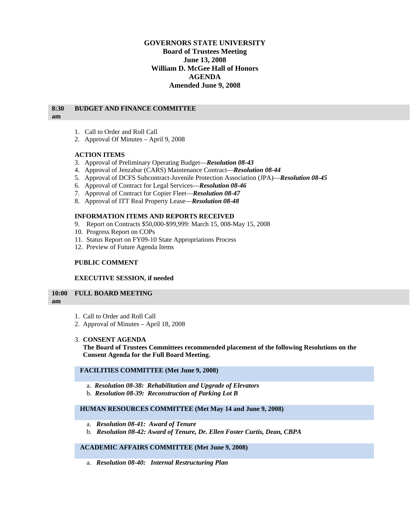# **GOVERNORS STATE UNIVERSITY Board of Trustees Meeting June 13, 2008 William D. McGee Hall of Honors AGENDA Amended June 9, 2008**

#### **8:30 am BUDGET AND FINANCE COMMITTEE**

- 1. Call to Order and Roll Call
- 2. Approval Of Minutes April 9, 2008

# **ACTION ITEMS**

- 3. Approval of Preliminary Operating Budget—*Resolution 08-43*
- 4. Approval of Jenzabar (CARS) Maintenance Contract—*Resolution 08-44*
- 5. Approval of DCFS Subcontract-Juvenile Protection Association (JPA)—*Resolution 08-45*
- 6. Approval of Contract for Legal Services—*Resolution 08-46*
- 7. Approval of Contract for Copier Fleet—*Resolution 08-47*
- 8. Approval of ITT Real Property Lease—*Resolution 08-48*

## **INFORMATION ITEMS AND REPORTS RECEIVED**

- 9. Report on Contracts \$50,000-\$99,999: March 15, 008-May 15, 2008
- 10. Progress Report on COPs
- 11. Status Report on FY09-10 State Appropriations Process
- 12. Preview of Future Agenda Items

### **PUBLIC COMMENT**

### **EXECUTIVE SESSION, if needed**

#### **10:00 FULL BOARD MEETING**

**am** 

- 1. Call to Order and Roll Call
- 2. Approval of Minutes April 18, 2008
- 3. **CONSENT AGENDA**

 **The Board of Trustees Committees recommended placement of the following Resolutions on the Consent Agenda for the Full Board Meeting.** 

### **FACILITIES COMMITTEE (Met June 9, 2008)**

- a. *Resolution 08-38: Rehabilitation and Upgrade of Elevators*
- b. *Resolution 08-39:**Reconstruction of Parking Lot B*

## **HUMAN RESOURCES COMMITTEE (Met May 14 and June 9, 2008)**

- a. *Resolution 08-41: Award of Tenure*
- b. *Resolution 08-42: Award of Tenure, Dr. Ellen Foster Curtis, Dean, CBPA*

# **ACADEMIC AFFAIRS COMMITTEE (Met June 9, 2008)**

a. *Resolution 08-40: Internal Restructuring Plan*